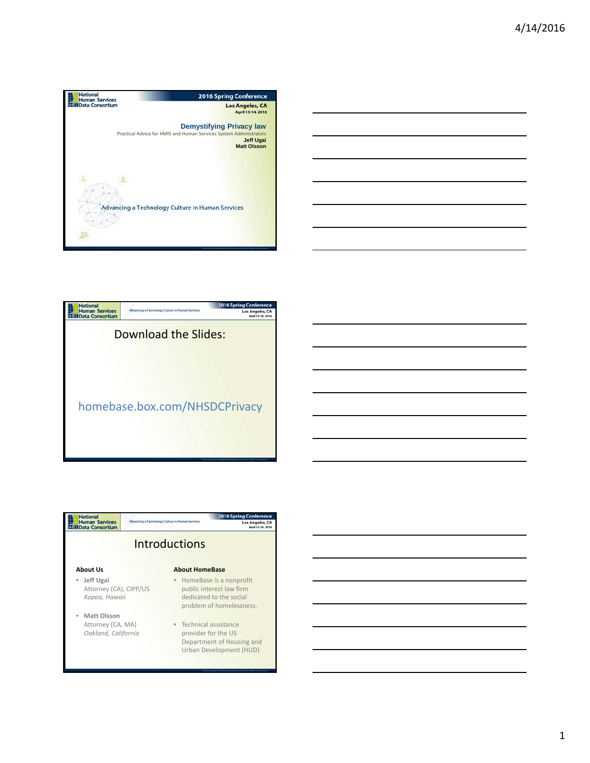





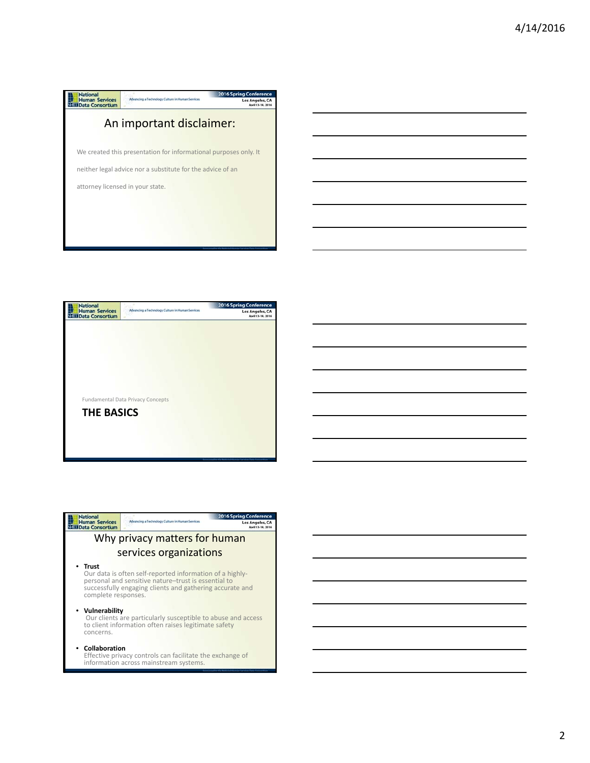



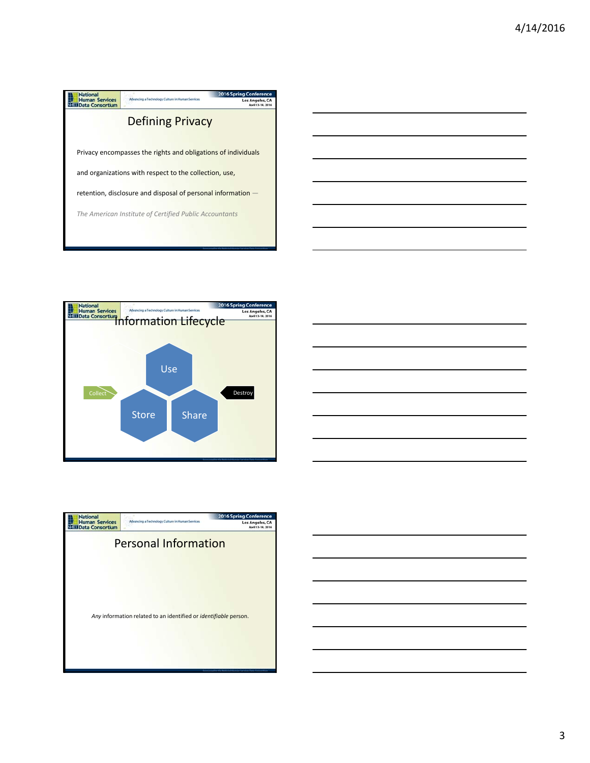





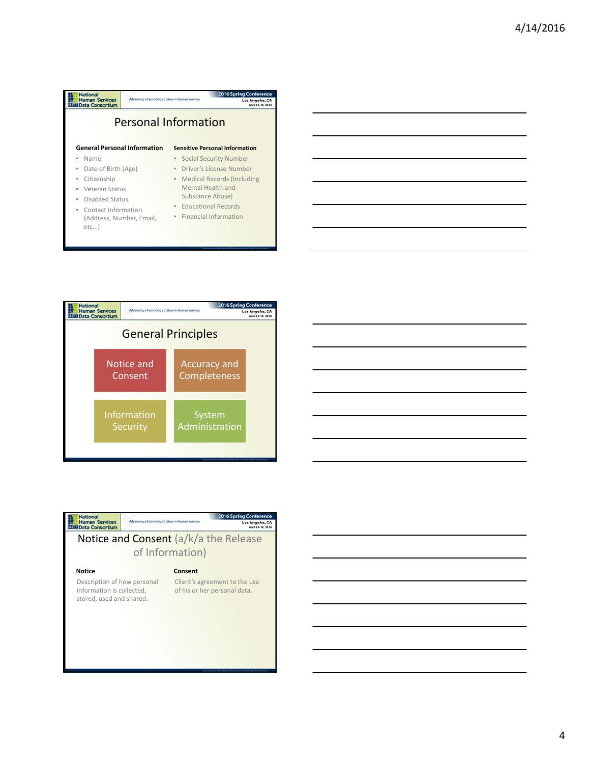| <b>Personal Information</b>                                  |
|--------------------------------------------------------------|
| <b>Sensitive Personal Information</b>                        |
| <b>Social Security Number</b>                                |
| Driver's License Number<br>۰                                 |
| <b>Medical Records (Including</b><br>$\qquad \qquad \bullet$ |
| Mental Health and                                            |
| Substance Abuse)                                             |
| <b>Educational Records</b><br>$\bullet$                      |
| • Financial Information                                      |
|                                                              |



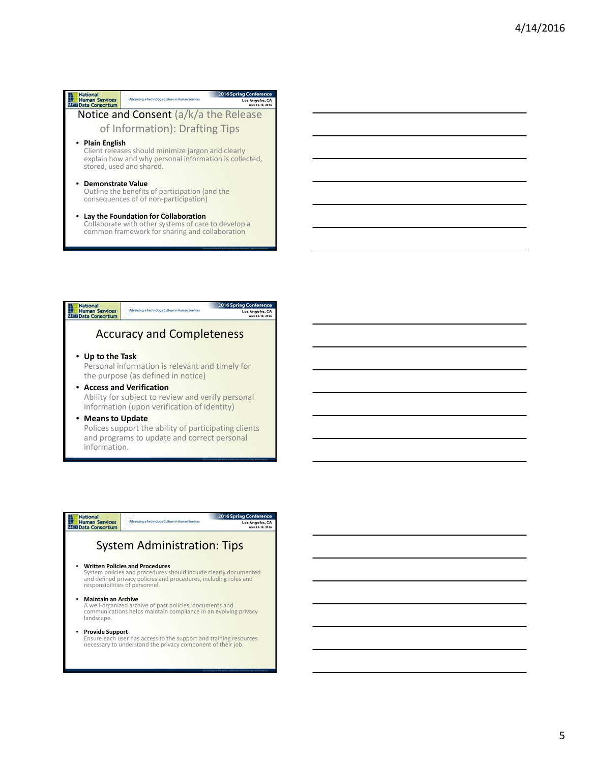



# **National**<br>Human Services<br>NGC Data Consortium

ng Co Los Angeles, CA

### System Administration: Tips

• **Written Policies and Procedures** System policies and procedures should include clearly documented and defined privacy policies and procedures, including roles and responsibilities of personnel.

• **Maintain an Archive**<br>A well-organized archive of past policies, documents and<br>communications helps maintain compliance in an evolving privacy landscape.

**• Provide Support**<br>Ensure each user has access to the support and training resources<br>necessary to understand the privacy component of their job.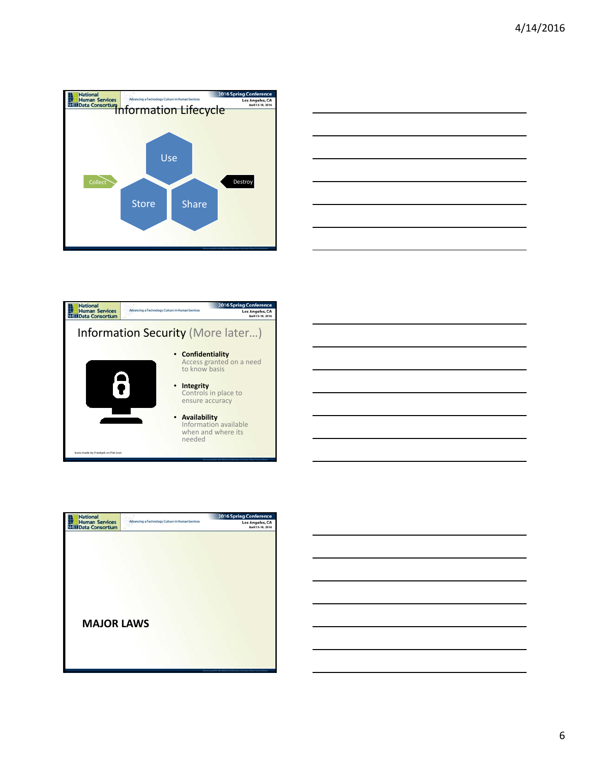





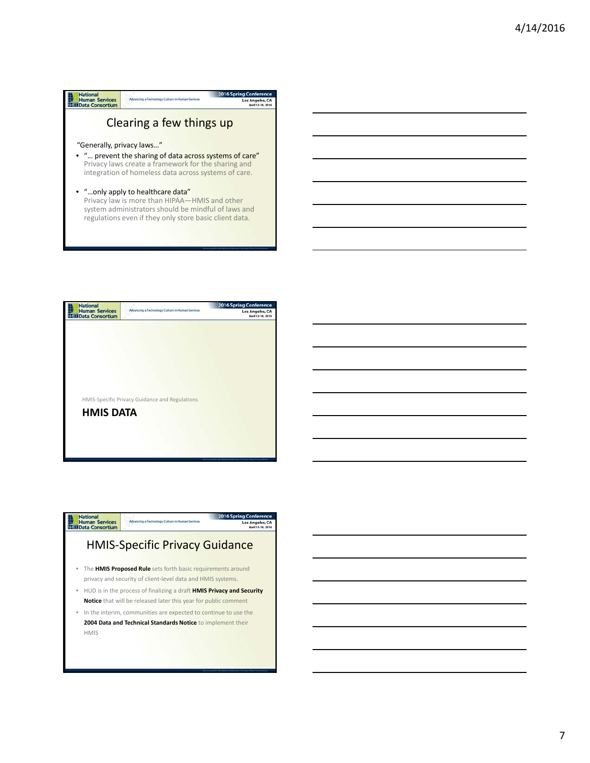#### **National**<br> **Human Services**<br> **NEED** Data Consortium 2016 Spring Conf -<br>Advancing a Technology Culture in Human Services Los Angeles, CA Clearing a few things up "Generally, privacy laws…" • "… prevent the sharing of data across systems of care" Privacy laws create a framework for the sharing and integration of homeless data across systems of care. • "…only apply to healthcare data" Privacy law is more than HIPAA—HMIS and other system administrators should be mindful of laws and regulations even if they only store basic client data.



#### **National**<br>Human Services<br>Nata Data Consortium ng Cor **Adv** Los Angeles, CA HMIS‐Specific Privacy Guidance • The **HMIS Proposed Rule** sets forth basic requirements around privacy and security of client‐level data and HMIS systems. • HUD is in the process of finalizing a draft **HMIS Privacy and Security Notice** that will be released later this year for public comment • In the interim, communities are expected to continue to use the **2004 Data and Technical Standards Notice** to implement their

HMIS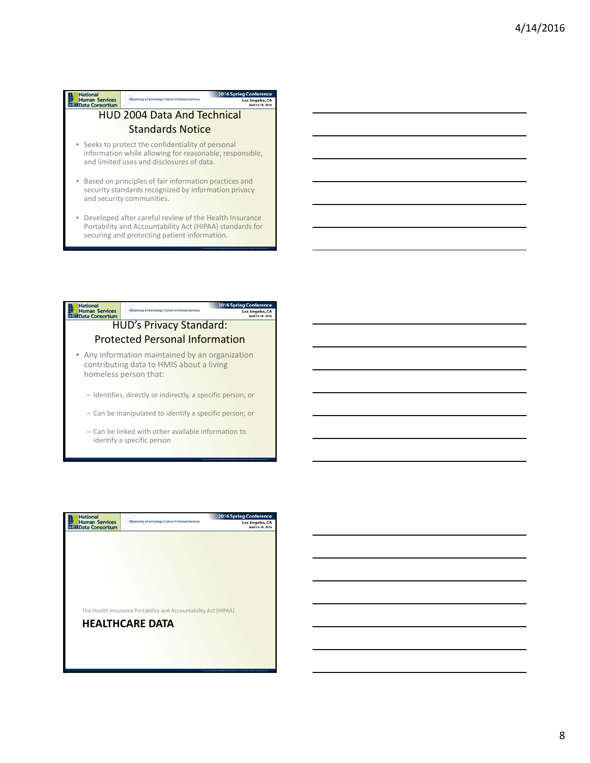| <b>Human Services</b><br>Data Consortium | Advancing a Technology Culture in Human Services                                                                                                           |  |  |
|------------------------------------------|------------------------------------------------------------------------------------------------------------------------------------------------------------|--|--|
| <b>HUD 2004 Data And Technical</b>       |                                                                                                                                                            |  |  |
|                                          | <b>Standards Notice</b>                                                                                                                                    |  |  |
|                                          | • Seeks to protect the confidentiality of personal<br>information while allowing for reasonable, responsible,<br>and limited uses and disclosures of data. |  |  |
|                                          | • Based on principles of fair information practices and<br>security standards recognized by information privacy<br>and security communities.               |  |  |
|                                          | • Developed after careful review of the Health Insurance<br>Portability and Accountability Act (HIPAA) standards for                                       |  |  |

2016 Spring Conference

securing and protecting patient information.

**National** 



– Can be linked with other available information to identify a specific person

| <b>National</b><br><b>Human Services</b><br>Data Consortium | Advancing a Technology Culture in Human Services                | <b>2016 Spring Conference</b><br>Los Angeles, CA<br>April 13-14, 2016 |
|-------------------------------------------------------------|-----------------------------------------------------------------|-----------------------------------------------------------------------|
|                                                             |                                                                 |                                                                       |
|                                                             |                                                                 |                                                                       |
|                                                             |                                                                 |                                                                       |
|                                                             |                                                                 |                                                                       |
|                                                             |                                                                 |                                                                       |
|                                                             |                                                                 |                                                                       |
|                                                             |                                                                 |                                                                       |
|                                                             | The Health Insurance Portability and Accountability Act (HIPAA) |                                                                       |
|                                                             | <b>HEALTHCARE DATA</b>                                          |                                                                       |
|                                                             |                                                                 |                                                                       |
|                                                             |                                                                 |                                                                       |
|                                                             |                                                                 |                                                                       |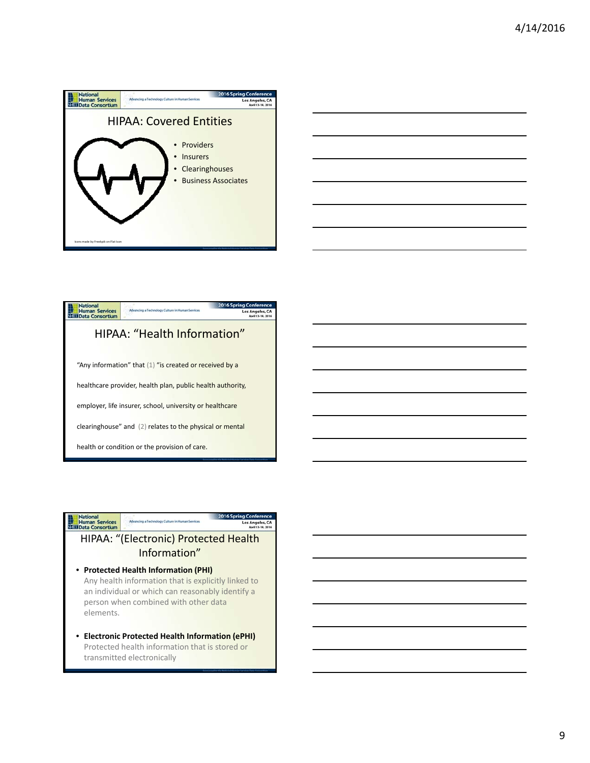

|  |  |  | ____ |
|--|--|--|------|
|  |  |  |      |
|  |  |  |      |



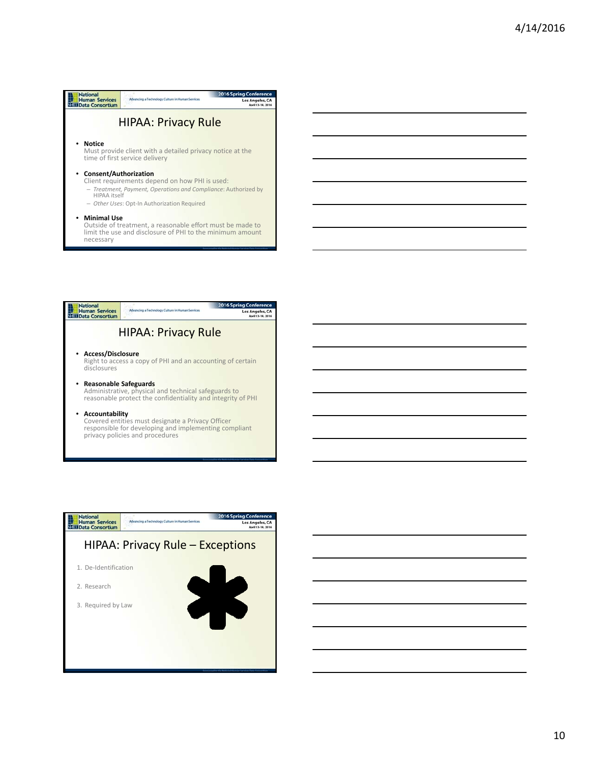| National                                        |                                                                                                                                                                 | <b>2016 Spring Conference</b> |
|-------------------------------------------------|-----------------------------------------------------------------------------------------------------------------------------------------------------------------|-------------------------------|
| <b>Human Services</b><br><b>Data Consortium</b> | Advancing a Technology Culture in Human Services                                                                                                                | Los Angeles, CA               |
|                                                 | <b>HIPAA: Privacy Rule</b>                                                                                                                                      |                               |
| Notice                                          | Must provide client with a detailed privacy notice at the<br>time of first service delivery                                                                     |                               |
| • Consent/Authorization<br>HIPAA itself         | Client requirements depend on how PHI is used:<br>- Treatment, Payment, Operations and Compliance: Authorized by<br>- Other Uses: Opt-In Authorization Required |                               |
| • Minimal Use<br>necessary                      | Outside of treatment, a reasonable effort must be made to<br>limit the use and disclosure of PHI to the minimum amount                                          |                               |





10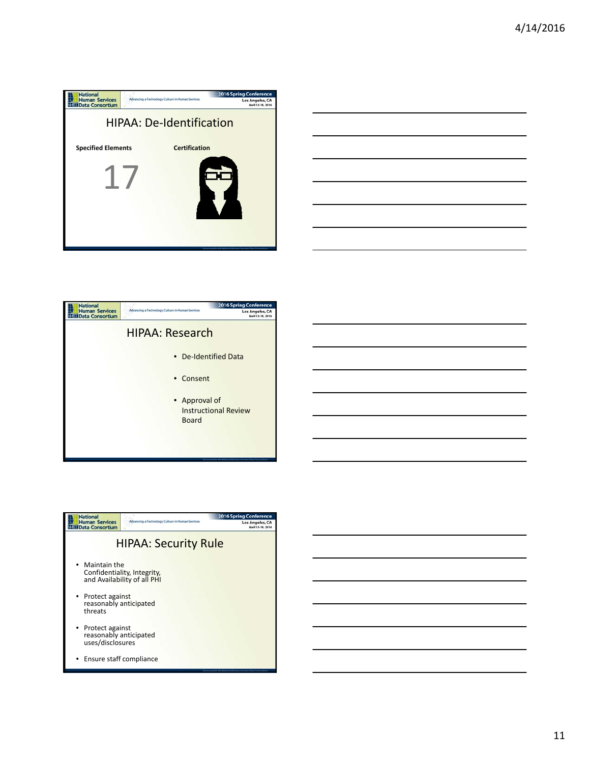

|    |  | _____ |
|----|--|-------|
|    |  |       |
|    |  |       |
| __ |  |       |
|    |  |       |
|    |  |       |
|    |  |       |
|    |  |       |
|    |  |       |
|    |  |       |
|    |  |       |



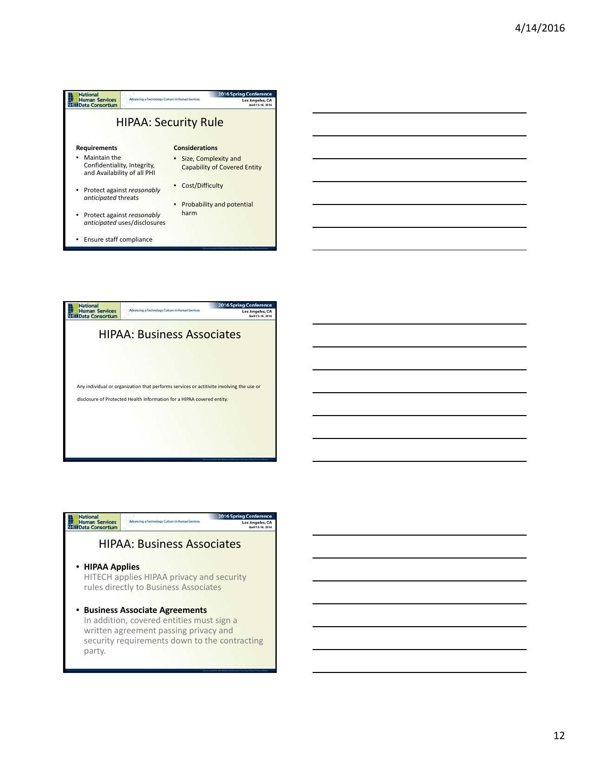



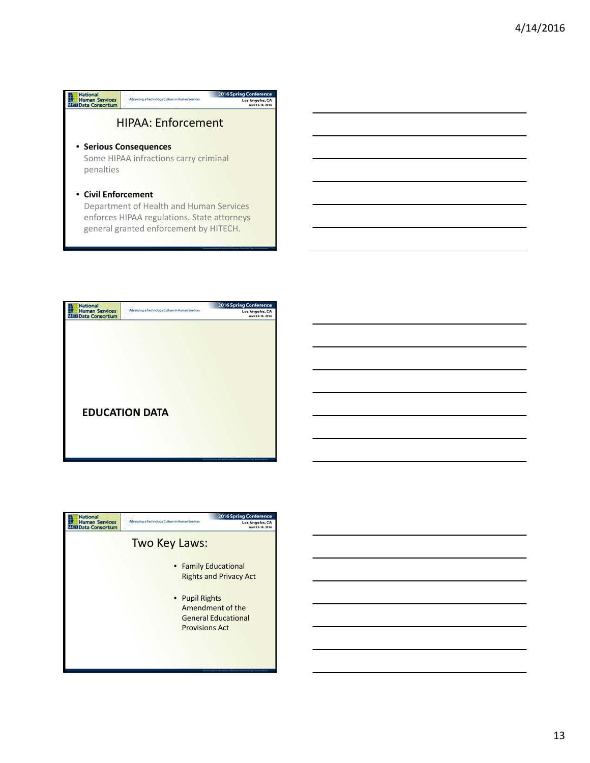



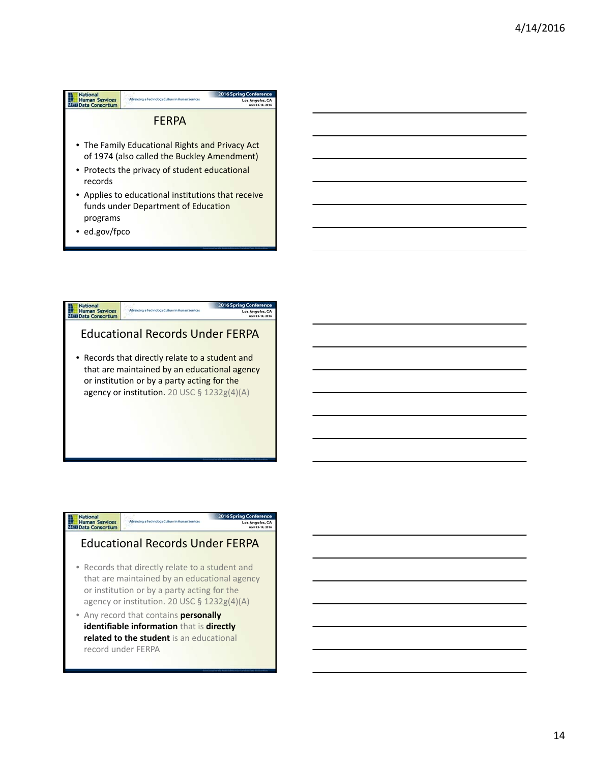



## National<br>Human Services<br>Nati Data Consortium

Los Angeles, CA

### Educational Records Under FERPA

- Records that directly relate to a student and that are maintained by an educational agency or institution or by a party acting for the agency or institution. 20 USC § 1232g(4)(A)
- Any record that contains **personally identifiable information** that is **directly related to the student** is an educational record under FERPA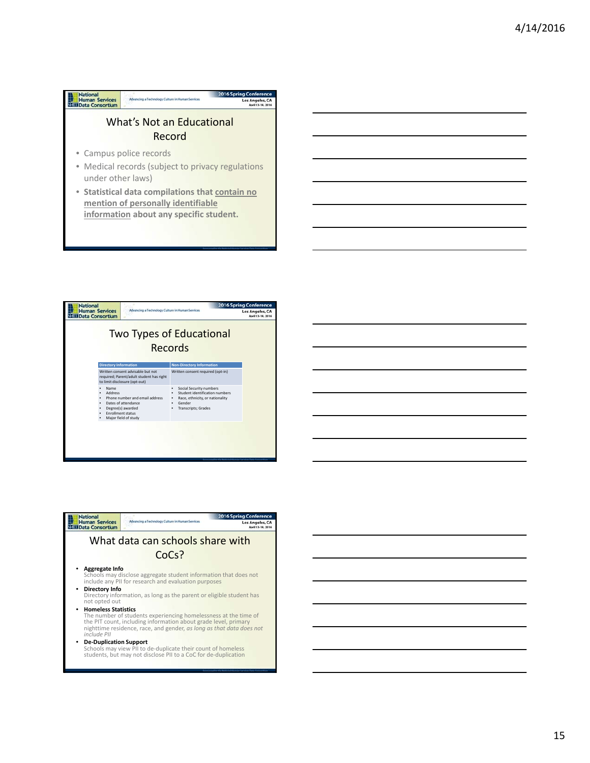#### **National**<br> **Human Services**<br> **NGE Data Consortium** 2016 Spring Confe Advancing a Technology Culture in Human Services Los Angeles, CA What's Not an Educational Record • Campus police records • Medical records (subject to privacy regulations under other laws)

• **Statistical data compilations that contain no mention of personally identifiable information about any specific student.**



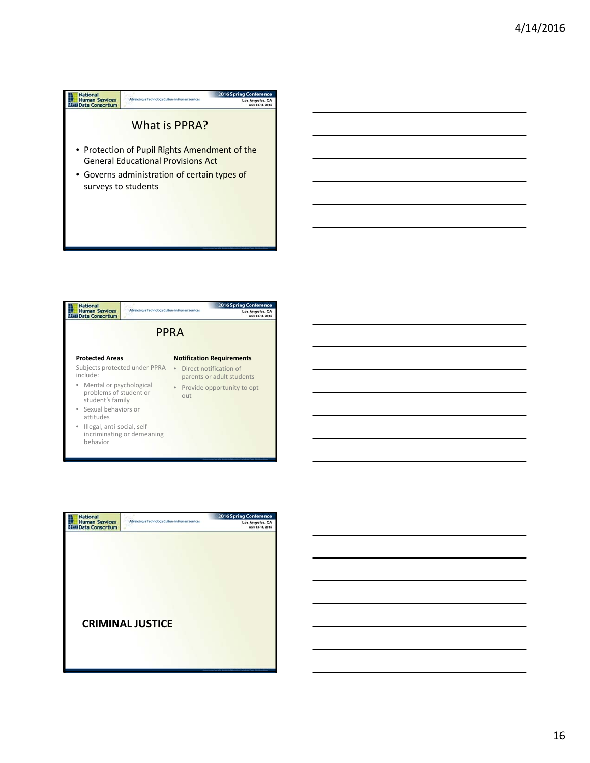



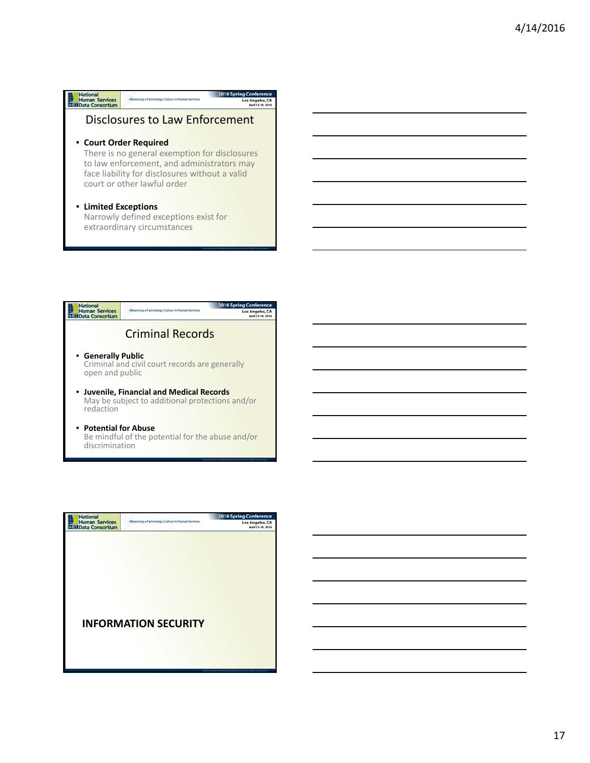| <b>National</b>                          |                                                                                                                                                                              | <b>2016 Spring Conference</b> |  |  |  |
|------------------------------------------|------------------------------------------------------------------------------------------------------------------------------------------------------------------------------|-------------------------------|--|--|--|
| <b>Human Services</b><br>Data Consortium | Advancing a Technology Culture in Human Services                                                                                                                             | Los Angeles, CA               |  |  |  |
| Disclosures to Law Enforcement           |                                                                                                                                                                              |                               |  |  |  |
| • Court Order Required                   |                                                                                                                                                                              |                               |  |  |  |
|                                          | There is no general exemption for disclosures<br>to law enforcement, and administrators may<br>face liability for disclosures without a valid<br>court or other lawful order |                               |  |  |  |
|                                          | • Limited Exceptions                                                                                                                                                         |                               |  |  |  |
|                                          | Narrowly defined exceptions exist for<br>extraordinary circumstances                                                                                                         |                               |  |  |  |
|                                          |                                                                                                                                                                              |                               |  |  |  |



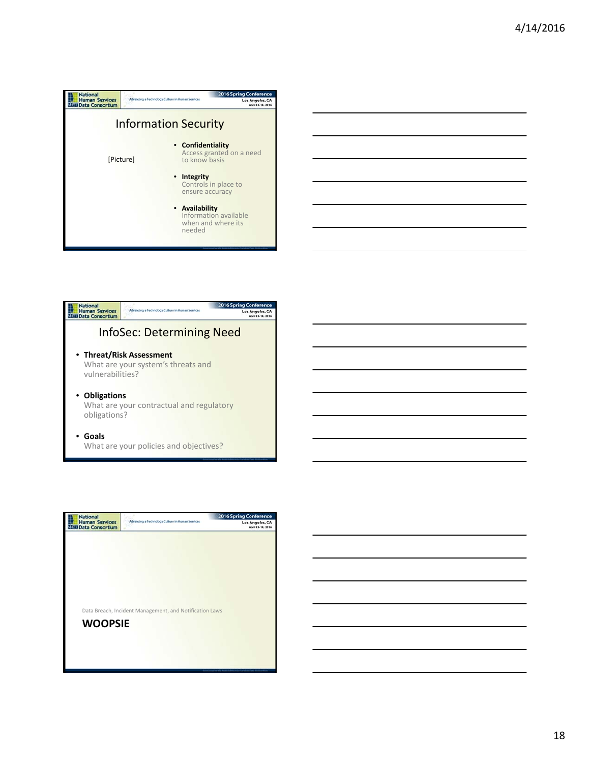





18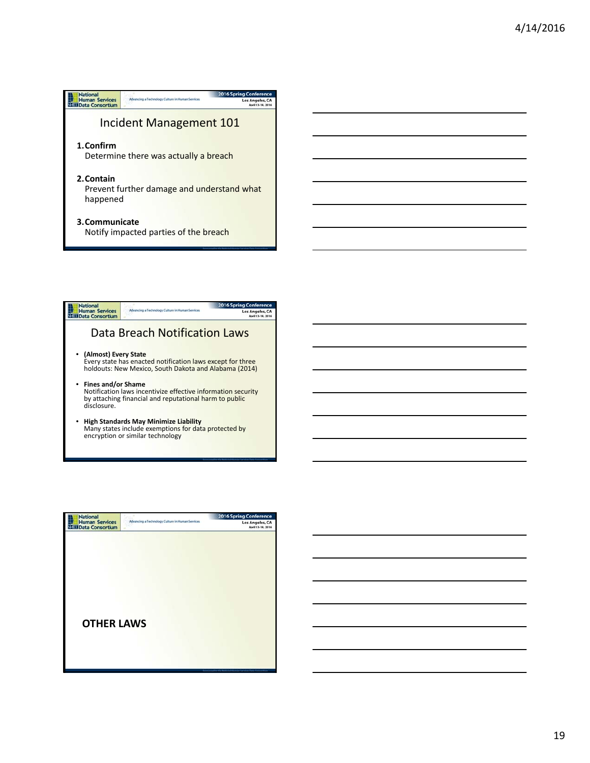





19